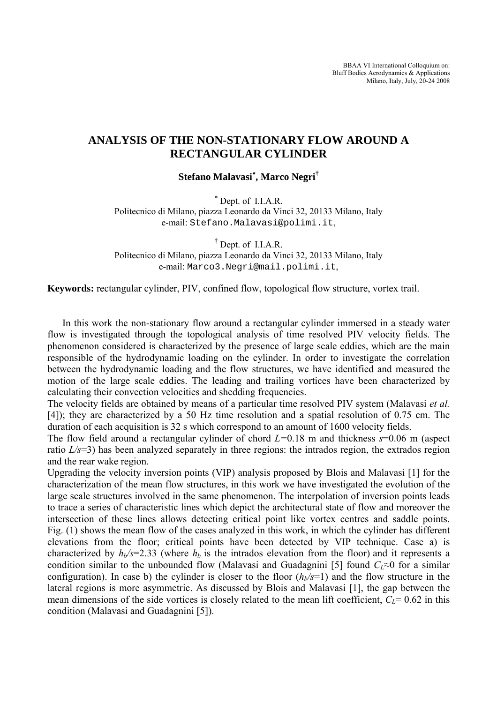BBAA VI International Colloquium on: Bluff Bodies Aerodynamics & Applications Milano, Italy, July, 20-24 2008

## **ANALYSIS OF THE NON-STATIONARY FLOW AROUND A RECTANGULAR CYLINDER**

**Stefano Malavasi**<sup>∗</sup> **, Marco Negri†** 

<sup>∗</sup> Dept. of I.I.A.R. Politecnico di Milano, piazza Leonardo da Vinci 32, 20133 Milano, Italy e-mail: Stefano.Malavasi@polimi.it,

† Dept. of I.I.A.R. Politecnico di Milano, piazza Leonardo da Vinci 32, 20133 Milano, Italy e-mail: Marco3.Negri@mail.polimi.it,

**Keywords:** rectangular cylinder, PIV, confined flow, topological flow structure, vortex trail.

In this work the non-stationary flow around a rectangular cylinder immersed in a steady water flow is investigated through the topological analysis of time resolved PIV velocity fields. The phenomenon considered is characterized by the presence of large scale eddies, which are the main responsible of the hydrodynamic loading on the cylinder. In order to investigate the correlation between the hydrodynamic loading and the flow structures, we have identified and measured the motion of the large scale eddies. The leading and trailing vortices have been characterized by calculating their convection velocities and shedding frequencies.

The velocity fields are obtained by means of a particular time resolved PIV system (Malavasi *et al.*  [\[4\]\)](#page-3-0); they are characterized by a 50 Hz time resolution and a spatial resolution of 0.75 cm. The duration of each acquisition is 32 s which correspond to an amount of 1600 velocity fields.

The flow field around a rectangular cylinder of chord *L=*0.18 m and thickness *s*=0.06 m (aspect ratio *L/s*=3) has been analyzed separately in three regions: the intrados region, the extrados region and the rear wake region.

Upgrading the velocity inversion points (VIP) analysis proposed by Blois and Malavasi [\[1\]](#page-3-1) for the characterization of the mean flow structures, in this work we have investigated the evolution of the large scale structures involved in the same phenomenon. The interpolation of inversion points leads to trace a series of characteristic lines which depict the architectural state of flow and moreover the intersection of these lines allows detecting critical point like vortex centres and saddle points. Fig. (1) shows the mean flow of the cases analyzed in this work, in which the cylinder has different elevations from the floor; critical points have been detected by VIP technique. Case a) is characterized by  $h_b$ /s=2.33 (where  $h_b$  is the intrados elevation from the floor) and it represents a condition similar to the unbounded flow (Malavasi and Guadagnini [5] found  $C_l \approx 0$  for a similar configuration). In case b) the cylinder is closer to the floor  $(h<sub>b</sub>/s=1)$  and the flow structure in the lateral regions is more asymmetric. As discussed by Blois and Malavasi [1], the gap between the mean dimensions of the side vortices is closely related to the mean lift coefficient,  $C_I$ = 0.62 in this condition (Malavasi and Guadagnini [5]).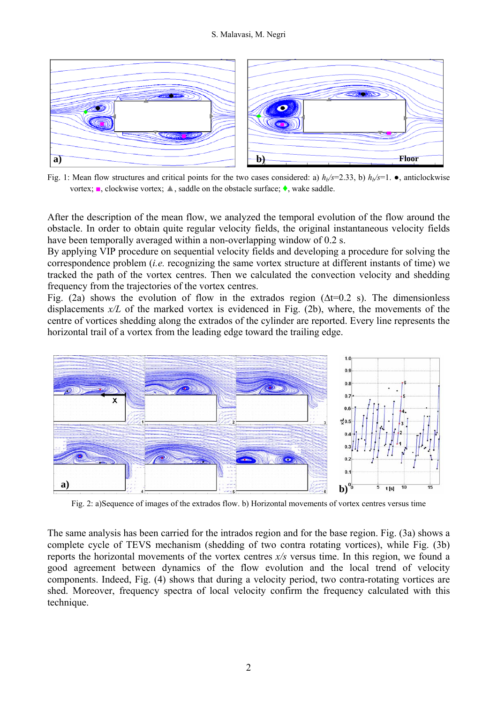## S. Malavasi, M. Negri



Fig. 1: Mean flow structures and critical points for the two cases considered: a)  $h_b$ /s=2.33, b)  $h_b$ /s=1.  $\bullet$ , anticlockwise vortex; ■, clockwise vortex; ▲, saddle on the obstacle surface; ♦, wake saddle.

After the description of the mean flow, we analyzed the temporal evolution of the flow around the obstacle. In order to obtain quite regular velocity fields, the original instantaneous velocity fields have been temporally averaged within a non-overlapping window of 0.2 s.

By applying VIP procedure on sequential velocity fields and developing a procedure for solving the correspondence problem (*i.e.* recognizing the same vortex structure at different instants of time) we tracked the path of the vortex centres. Then we calculated the convection velocity and shedding frequency from the trajectories of the vortex centres.

Fig. (2a) shows the evolution of flow in the extrados region ( $\Delta t$ =0.2 s). The dimensionless displacements  $x/L$  of the marked vortex is evidenced in Fig. (2b), where, the movements of the centre of vortices shedding along the extrados of the cylinder are reported. Every line represents the horizontal trail of a vortex from the leading edge toward the trailing edge.



Fig. 2: a)Sequence of images of the extrados flow. b) Horizontal movements of vortex centres versus time

The same analysis has been carried for the intrados region and for the base region. Fig. (3a) shows a complete cycle of TEVS mechanism (shedding of two contra rotating vortices), while Fig. (3b) reports the horizontal movements of the vortex centres *x/s* versus time. In this region, we found a good agreement between dynamics of the flow evolution and the local trend of velocity components. Indeed, Fig. (4) shows that during a velocity period, two contra-rotating vortices are shed. Moreover, frequency spectra of local velocity confirm the frequency calculated with this technique.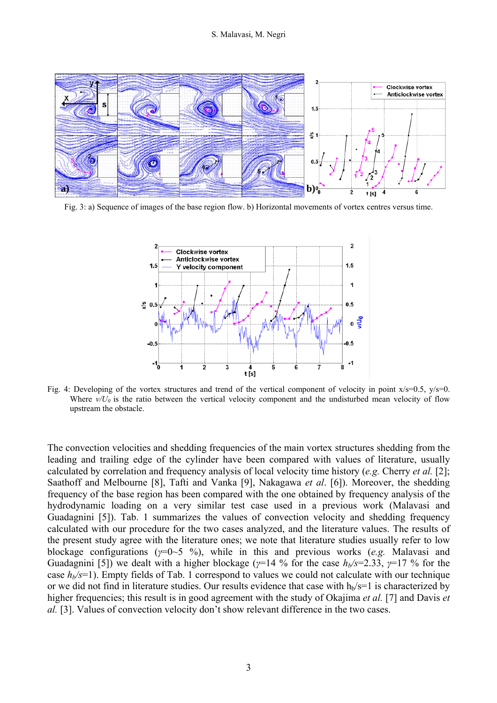

Fig. 3: a) Sequence of images of the base region flow. b) Horizontal movements of vortex centres versus time.



Fig. 4: Developing of the vortex structures and trend of the vertical component of velocity in point  $x/s=0.5$ ,  $y/s=0$ . Where  $v/U_0$  is the ratio between the vertical velocity component and the undisturbed mean velocity of flow upstream the obstacle.

The convection velocities and shedding frequencies of the main vortex structures shedding from the leading and trailing edge of the cylinder have been compared with values of literature, usually calculated by correlation and frequency analysis of local velocity time history (*e.g.* Cherry *et al.* [2]; Saathoff and Melbourne [8], Tafti and Vanka [9], Nakagawa *et al*. [6]). Moreover, the shedding frequency of the base region has been compared with the one obtained by frequency analysis of the hydrodynamic loading on a very similar test case used in a previous work (Malavasi and Guadagnini [5]). Tab. 1 summarizes the values of convection velocity and shedding frequency calculated with our procedure for the two cases analyzed, and the literature values. The results of the present study agree with the literature ones; we note that literature studies usually refer to low blockage configurations (*γ*=0~5 %), while in this and previous works (*e.g.* Malavasi and Guadagnini [5]) we dealt with a higher blockage ( $\gamma$ =14 % for the case  $h_b$ /s=2.33,  $\gamma$ =17 % for the case  $h_b$ /s=1). Empty fields of Tab. 1 correspond to values we could not calculate with our technique or we did not find in literature studies. Our results evidence that case with  $h_b$ /s=1 is characterized by higher frequencies; this result is in good agreement with the study of Okajima *et al.* [7] and Davis *et al.* [3]. Values of convection velocity don't show relevant difference in the two cases.